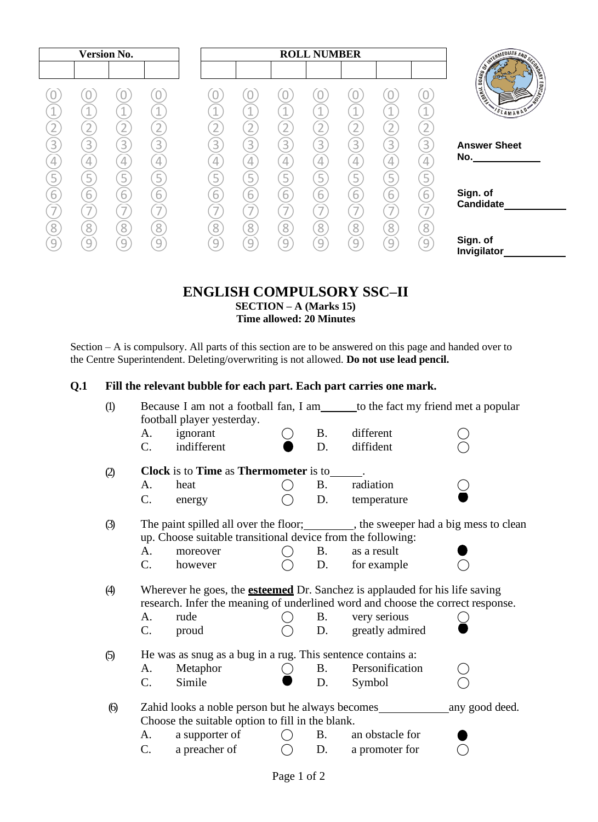|                           | <b>ROLL NUMBER</b> |   |                                            |                |                                            |                               | <b>Version No.</b> |                |                     |                               |   |
|---------------------------|--------------------|---|--------------------------------------------|----------------|--------------------------------------------|-------------------------------|--------------------|----------------|---------------------|-------------------------------|---|
| <b>EXISTING THE BLATE</b> |                    |   |                                            |                |                                            |                               |                    |                |                     |                               |   |
|                           |                    |   |                                            |                |                                            |                               |                    |                |                     |                               |   |
| SLAMAB!                   | 4                  |   | A.                                         |                | A.                                         | A.                            |                    |                | $\sim$              |                               |   |
|                           |                    |   |                                            |                | ∸<br>$\overline{\phantom{a}}$              |                               |                    |                |                     |                               |   |
| <b>Answer Sheet</b>       | $\overline{3}$     | 3 | 3                                          | $\overline{3}$ | 3                                          | 3                             | 3                  | $\overline{3}$ | $\overline{3}$      | 3                             | 3 |
| No.                       |                    |   | 4                                          |                |                                            |                               |                    |                | 4                   |                               |   |
|                           |                    | 4 | 5                                          | Ę              | 4<br>5                                     | 5                             |                    |                | 5                   |                               |   |
| Sign. of                  |                    |   |                                            |                |                                            |                               |                    |                |                     |                               |   |
| Candidate                 | 6                  | 6 | $\overline{6}$<br>$\overline{\phantom{a}}$ | $\overline{6}$ | $\overline{6}$<br>$\overline{\phantom{a}}$ | 6<br>$\overline{\phantom{a}}$ | ь                  | 6              | $\overline{6}$<br>- | 6<br>$\overline{\phantom{a}}$ | b |
|                           |                    |   |                                            |                |                                            |                               |                    |                |                     |                               |   |
| Sign. of                  | 8                  | 8 | 8                                          | 8              | $\overline{8}$                             | 8                             | 8                  | 8              | 8                   | 8                             | 8 |
| Invigilator               | $\left[9\right]$   | 9 | 9                                          | q              | 9                                          | 9                             | 9                  | 9              | 9                   | 9                             | 9 |

# **ENGLISH COMPULSORY SSC–II SECTION – A (Marks 15) Time allowed: 20 Minutes**

Section – A is compulsory. All parts of this section are to be answered on this page and handed over to the Centre Superintendent. Deleting/overwriting is not allowed. **Do not use lead pencil.**

# **Q.1 Fill the relevant bubble for each part. Each part carries one mark.**

| $\left( \mathbf{I} \right)$                                        |                                                                                                                                                                       | football player yesterday.                                                           | Because I am not a football fan, I am______ to the fact my friend met a popular |           |                 |  |  |  |  |  |
|--------------------------------------------------------------------|-----------------------------------------------------------------------------------------------------------------------------------------------------------------------|--------------------------------------------------------------------------------------|---------------------------------------------------------------------------------|-----------|-----------------|--|--|--|--|--|
|                                                                    | A.                                                                                                                                                                    | ignorant                                                                             |                                                                                 | <b>B.</b> | different       |  |  |  |  |  |
|                                                                    | $\mathbf{C}$ .                                                                                                                                                        | indifferent                                                                          |                                                                                 | D.        | diffident       |  |  |  |  |  |
| $\circled{2}$                                                      |                                                                                                                                                                       | <b>Clock</b> is to <b>Time</b> as <b>Thermometer</b> is to                           |                                                                                 |           |                 |  |  |  |  |  |
|                                                                    | A.                                                                                                                                                                    | heat                                                                                 |                                                                                 | <b>B.</b> | radiation       |  |  |  |  |  |
|                                                                    | C.                                                                                                                                                                    | energy                                                                               |                                                                                 | D.        | temperature     |  |  |  |  |  |
| $\circled{3}$                                                      |                                                                                                                                                                       | The paint spilled all over the floor; _________, the sweeper had a big mess to clean |                                                                                 |           |                 |  |  |  |  |  |
|                                                                    | up. Choose suitable transitional device from the following:                                                                                                           |                                                                                      |                                                                                 |           |                 |  |  |  |  |  |
|                                                                    | A.                                                                                                                                                                    | moreover                                                                             |                                                                                 | <b>B.</b> | as a result     |  |  |  |  |  |
|                                                                    | $C_{\cdot}$                                                                                                                                                           | however                                                                              |                                                                                 | D.        | for example     |  |  |  |  |  |
| $\circled{4}$                                                      | Wherever he goes, the <b>esteemed</b> Dr. Sanchez is applauded for his life saving<br>research. Infer the meaning of underlined word and choose the correct response. |                                                                                      |                                                                                 |           |                 |  |  |  |  |  |
|                                                                    | A.                                                                                                                                                                    | rude                                                                                 |                                                                                 | <b>B.</b> | very serious    |  |  |  |  |  |
|                                                                    | C.                                                                                                                                                                    | proud                                                                                |                                                                                 | D.        | greatly admired |  |  |  |  |  |
| He was as snug as a bug in a rug. This sentence contains a:<br>(5) |                                                                                                                                                                       |                                                                                      |                                                                                 |           |                 |  |  |  |  |  |
|                                                                    | A.                                                                                                                                                                    | Metaphor                                                                             |                                                                                 | <b>B.</b> | Personification |  |  |  |  |  |
|                                                                    | $C_{\cdot}$                                                                                                                                                           | Simile                                                                               |                                                                                 | D.        | Symbol          |  |  |  |  |  |
| $\Theta$                                                           | Choose the suitable option to fill in the blank.                                                                                                                      |                                                                                      |                                                                                 |           |                 |  |  |  |  |  |
|                                                                    | A.                                                                                                                                                                    | a supporter of                                                                       |                                                                                 | <b>B.</b> | an obstacle for |  |  |  |  |  |
|                                                                    | $\mathbf{C}$ .                                                                                                                                                        | a preacher of                                                                        |                                                                                 | D.        | a promoter for  |  |  |  |  |  |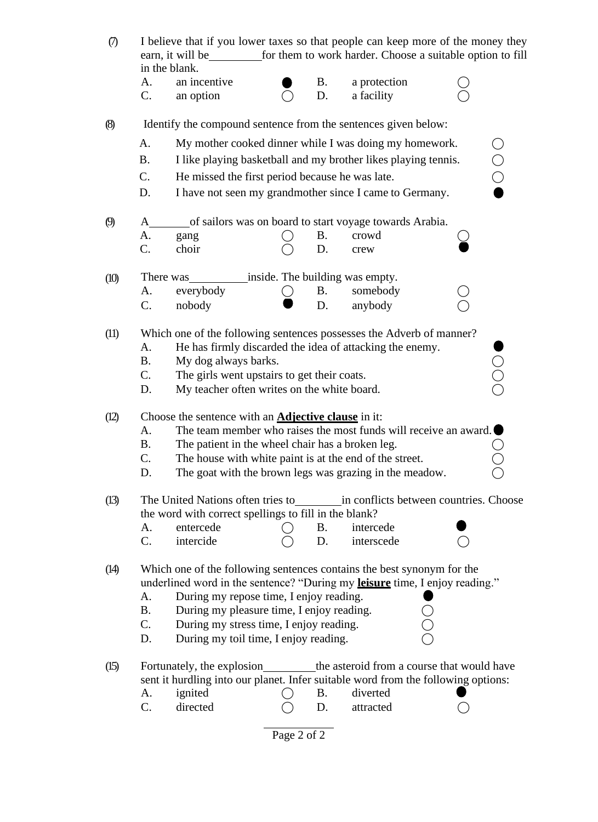| $\sigma$                                             | I believe that if you lower taxes so that people can keep more of the money they<br>earn, it will be<br>for them to work harder. Choose a suitable option to fill<br>in the blank. |                                                                               |  |           |                                                                          |  |  |  |  |
|------------------------------------------------------|------------------------------------------------------------------------------------------------------------------------------------------------------------------------------------|-------------------------------------------------------------------------------|--|-----------|--------------------------------------------------------------------------|--|--|--|--|
|                                                      |                                                                                                                                                                                    |                                                                               |  |           |                                                                          |  |  |  |  |
|                                                      | A.                                                                                                                                                                                 | an incentive                                                                  |  | <b>B.</b> | a protection                                                             |  |  |  |  |
|                                                      | C.                                                                                                                                                                                 | an option                                                                     |  | D.        | a facility                                                               |  |  |  |  |
| (8)                                                  |                                                                                                                                                                                    |                                                                               |  |           | Identify the compound sentence from the sentences given below:           |  |  |  |  |
|                                                      | A.                                                                                                                                                                                 | My mother cooked dinner while I was doing my homework.                        |  |           |                                                                          |  |  |  |  |
|                                                      | <b>B.</b>                                                                                                                                                                          | ○<br>○<br>○<br>I like playing basketball and my brother likes playing tennis. |  |           |                                                                          |  |  |  |  |
|                                                      | C.                                                                                                                                                                                 | He missed the first period because he was late.                               |  |           |                                                                          |  |  |  |  |
|                                                      | D.<br>I have not seen my grandmother since I came to Germany.                                                                                                                      |                                                                               |  |           |                                                                          |  |  |  |  |
| $\boldsymbol{\varnothing}$                           | A                                                                                                                                                                                  |                                                                               |  |           | of sailors was on board to start voyage towards Arabia.                  |  |  |  |  |
|                                                      | A.                                                                                                                                                                                 | gang                                                                          |  | <b>B.</b> | crowd                                                                    |  |  |  |  |
|                                                      | C.                                                                                                                                                                                 | choir                                                                         |  | D.        | crew                                                                     |  |  |  |  |
| inside. The building was empty.<br>There was<br>(10) |                                                                                                                                                                                    |                                                                               |  |           |                                                                          |  |  |  |  |
|                                                      | А.                                                                                                                                                                                 | everybody                                                                     |  | <b>B.</b> | somebody                                                                 |  |  |  |  |
|                                                      | C.                                                                                                                                                                                 | nobody                                                                        |  | D.        | anybody                                                                  |  |  |  |  |
| (11)                                                 |                                                                                                                                                                                    |                                                                               |  |           | Which one of the following sentences possesses the Adverb of manner?     |  |  |  |  |
|                                                      | A.                                                                                                                                                                                 |                                                                               |  |           | He has firmly discarded the idea of attacking the enemy.                 |  |  |  |  |
|                                                      | <b>B.</b>                                                                                                                                                                          | My dog always barks.                                                          |  |           |                                                                          |  |  |  |  |
|                                                      | C.                                                                                                                                                                                 | 000<br>The girls went upstairs to get their coats.                            |  |           |                                                                          |  |  |  |  |
|                                                      | D.                                                                                                                                                                                 | My teacher often writes on the white board.                                   |  |           |                                                                          |  |  |  |  |
| (12)                                                 |                                                                                                                                                                                    | Choose the sentence with an <b>Adjective clause</b> in it:                    |  |           |                                                                          |  |  |  |  |
|                                                      | The team member who raises the most funds will receive an award. $\blacksquare$<br>A.                                                                                              |                                                                               |  |           |                                                                          |  |  |  |  |
|                                                      | Β.                                                                                                                                                                                 | The patient in the wheel chair has a broken leg.                              |  |           |                                                                          |  |  |  |  |
|                                                      | C.                                                                                                                                                                                 | The house with white paint is at the end of the street.                       |  |           |                                                                          |  |  |  |  |
|                                                      | D.                                                                                                                                                                                 |                                                                               |  |           | The goat with the brown legs was grazing in the meadow.                  |  |  |  |  |
| (13)                                                 |                                                                                                                                                                                    |                                                                               |  |           | The United Nations often tries to in conflicts between countries. Choose |  |  |  |  |
|                                                      |                                                                                                                                                                                    | the word with correct spellings to fill in the blank?                         |  |           |                                                                          |  |  |  |  |
|                                                      | А.                                                                                                                                                                                 | entercede                                                                     |  | <b>B.</b> | intercede                                                                |  |  |  |  |
|                                                      | C.                                                                                                                                                                                 | intercide                                                                     |  | D.        | interscede                                                               |  |  |  |  |
| (14)                                                 |                                                                                                                                                                                    |                                                                               |  |           | Which one of the following sentences contains the best synonym for the   |  |  |  |  |
|                                                      | underlined word in the sentence? "During my leisure time, I enjoy reading."<br>During my repose time, I enjoy reading.<br>А.                                                       |                                                                               |  |           |                                                                          |  |  |  |  |
|                                                      | <b>B.</b><br>During my pleasure time, I enjoy reading.<br>C.<br>During my stress time, I enjoy reading.                                                                            |                                                                               |  |           |                                                                          |  |  |  |  |
|                                                      |                                                                                                                                                                                    |                                                                               |  |           |                                                                          |  |  |  |  |
|                                                      | D.                                                                                                                                                                                 | During my toil time, I enjoy reading.                                         |  |           |                                                                          |  |  |  |  |
|                                                      |                                                                                                                                                                                    |                                                                               |  |           |                                                                          |  |  |  |  |
| (15)                                                 |                                                                                                                                                                                    |                                                                               |  |           | Fortunately, the explosion the asteroid from a course that would have    |  |  |  |  |
|                                                      | sent it hurdling into our planet. Infer suitable word from the following options:<br>ignited<br>diverted<br>А.<br>B.                                                               |                                                                               |  |           |                                                                          |  |  |  |  |
|                                                      | C.                                                                                                                                                                                 | directed                                                                      |  | D.        | attracted                                                                |  |  |  |  |
|                                                      |                                                                                                                                                                                    |                                                                               |  |           |                                                                          |  |  |  |  |
| Page 2 of 2                                          |                                                                                                                                                                                    |                                                                               |  |           |                                                                          |  |  |  |  |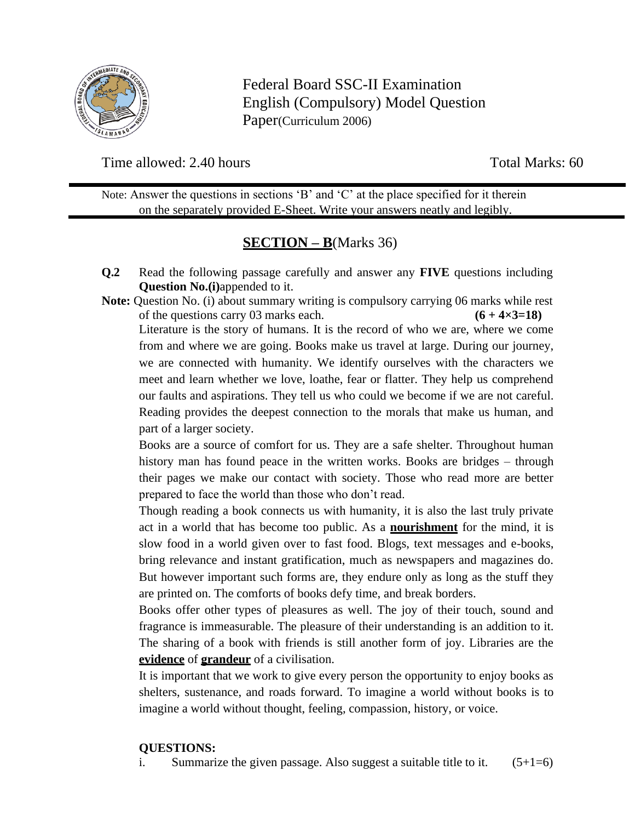

Federal Board SSC-II Examination English (Compulsory) Model Question Paper(Curriculum 2006)

Time allowed: 2.40 hours Total Marks: 60

Note: Answer the questions in sections 'B' and 'C' at the place specified for it therein on the separately provided E-Sheet. Write your answers neatly and legibly.

# **SECTION – B**(Marks 36)

- **Q.2** Read the following passage carefully and answer any **FIVE** questions including **Question No.(i)**appended to it.
- **Note:** Question No. (i) about summary writing is compulsory carrying 06 marks while rest of the questions carry 03 marks each.  $(6 + 4 \times 3 = 18)$

Literature is the story of humans. It is the record of who we are, where we come from and where we are going. Books make us travel at large. During our journey, we are connected with humanity. We identify ourselves with the characters we meet and learn whether we love, loathe, fear or flatter. They help us comprehend our faults and aspirations. They tell us who could we become if we are not careful. Reading provides the deepest connection to the morals that make us human, and part of a larger society.

Books are a source of comfort for us. They are a safe shelter. Throughout human history man has found peace in the written works. Books are bridges – through their pages we make our contact with society. Those who read more are better prepared to face the world than those who don't read.

Though reading a book connects us with humanity, it is also the last truly private act in a world that has become too public. As a **nourishment** for the mind, it is slow food in a world given over to fast food. Blogs, text messages and e-books, bring relevance and instant gratification, much as newspapers and magazines do. But however important such forms are, they endure only as long as the stuff they are printed on. The comforts of books defy time, and break borders.

Books offer other types of pleasures as well. The joy of their touch, sound and fragrance is immeasurable. The pleasure of their understanding is an addition to it. The sharing of a book with friends is still another form of joy. Libraries are the **evidence** of **grandeur** of a civilisation.

It is important that we work to give every person the opportunity to enjoy books as shelters, sustenance, and roads forward. To imagine a world without books is to imagine a world without thought, feeling, compassion, history, or voice.

## **QUESTIONS:**

i. Summarize the given passage. Also suggest a suitable title to it.  $(5+1=6)$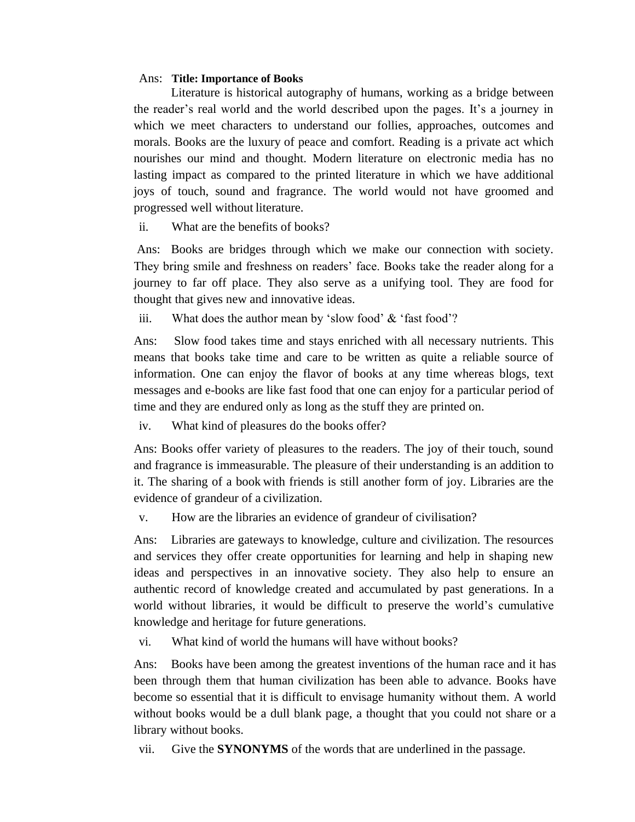#### Ans: **Title: Importance of Books**

Literature is historical autography of humans, working as a bridge between the reader's real world and the world described upon the pages. It's a journey in which we meet characters to understand our follies, approaches, outcomes and morals. Books are the luxury of peace and comfort. Reading is a private act which nourishes our mind and thought. Modern literature on electronic media has no lasting impact as compared to the printed literature in which we have additional joys of touch, sound and fragrance. The world would not have groomed and progressed well without literature.

ii. What are the benefits of books?

Ans: Books are bridges through which we make our connection with society. They bring smile and freshness on readers' face. Books take the reader along for a journey to far off place. They also serve as a unifying tool. They are food for thought that gives new and innovative ideas.

iii. What does the author mean by 'slow food' & 'fast food'?

Ans: Slow food takes time and stays enriched with all necessary nutrients. This means that books take time and care to be written as quite a reliable source of information. One can enjoy the flavor of books at any time whereas blogs, text messages and e-books are like fast food that one can enjoy for a particular period of time and they are endured only as long as the stuff they are printed on.

iv. What kind of pleasures do the books offer?

Ans: Books offer variety of pleasures to the readers. The joy of their touch, sound and fragrance is immeasurable. The pleasure of their understanding is an addition to it. The sharing of a book with friends is still another form of joy. Libraries are the evidence of grandeur of a civilization.

v. How are the libraries an evidence of grandeur of civilisation?

Ans: Libraries are gateways to knowledge, culture and civilization. The resources and services they offer create opportunities for learning and help in shaping new ideas and perspectives in an innovative society. They also help to ensure an authentic record of knowledge created and accumulated by past generations. In a world without libraries, it would be difficult to preserve the world's cumulative knowledge and heritage for future generations.

vi. What kind of world the humans will have without books?

Ans: Books have been among the greatest inventions of the human race and it has been through them that human civilization has been able to advance. Books have become so essential that it is difficult to envisage humanity without them. A world without books would be a dull blank page, a thought that you could not share or a library without books.

vii. Give the **SYNONYMS** of the words that are underlined in the passage.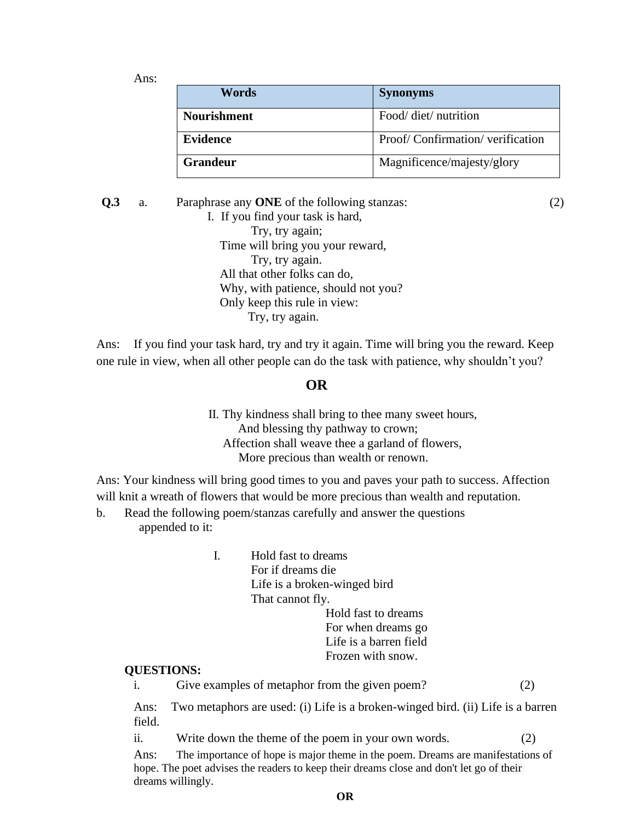Ans:

| Words              | <b>Synonyms</b>                 |
|--------------------|---------------------------------|
| <b>Nourishment</b> | Food/ diet/ nutrition           |
| <b>Evidence</b>    | Proof/Confirmation/verification |
| <b>Grandeur</b>    | Magnificence/majesty/glory      |

**Q.3** a. Paraphrase any **ONE** of the following stanzas: (2) I. If you find your task is hard, Try, try again; Time will bring you your reward, Try, try again. All that other folks can do, Why, with patience, should not you? Only keep this rule in view: Try, try again.

Ans: If you find your task hard, try and try it again. Time will bring you the reward. Keep one rule in view, when all other people can do the task with patience, why shouldn't you?

#### **OR**

II. Thy kindness shall bring to thee many sweet hours, And blessing thy pathway to crown; Affection shall weave thee a garland of flowers, More precious than wealth or renown.

Ans: Your kindness will bring good times to you and paves your path to success. Affection will knit a wreath of flowers that would be more precious than wealth and reputation.

- b. Read the following poem/stanzas carefully and answer the questions appended to it:
	- I. Hold fast to dreams For if dreams die Life is a broken-winged bird That cannot fly. Hold fast to dreams

#### For when dreams go Life is a barren field Frozen with snow.

#### **QUESTIONS:**

i. Give examples of metaphor from the given poem? (2)

Ans: Two metaphors are used: (i) Life is a broken-winged bird. (ii) Life is a barren field.

ii. Write down the theme of the poem in your own words. (2)

Ans: The importance of hope is major theme in the poem. Dreams are manifestations of hope. The poet advises the readers to keep their dreams close and don't let go of their dreams willingly.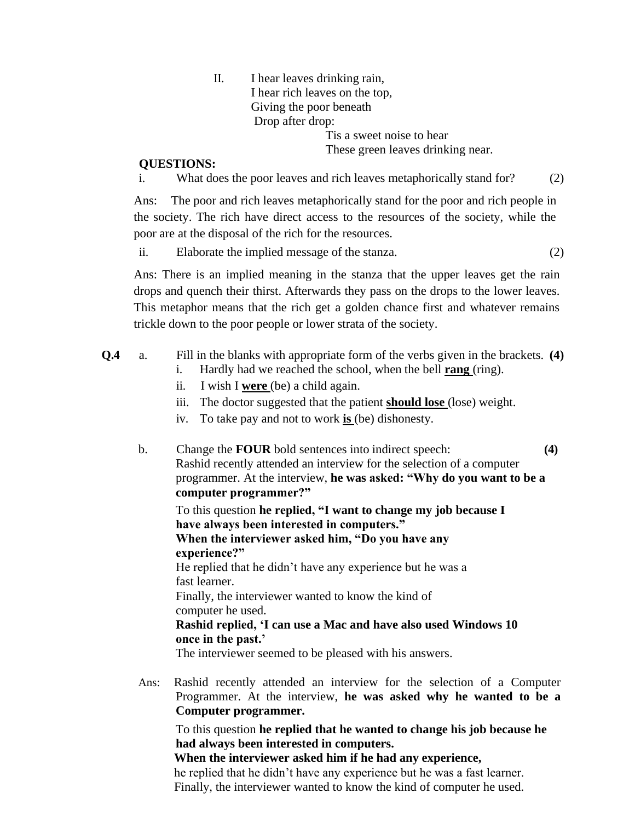II. I hear leaves drinking rain, I hear rich leaves on the top, Giving the poor beneath Drop after drop: Tis a sweet noise to hear

These green leaves drinking near.

#### **QUESTIONS:**

i. What does the poor leaves and rich leaves metaphorically stand for? (2)

Ans: The poor and rich leaves metaphorically stand for the poor and rich people in the society. The rich have direct access to the resources of the society, while the poor are at the disposal of the rich for the resources.

ii. Elaborate the implied message of the stanza. (2)

Ans: There is an implied meaning in the stanza that the upper leaves get the rain drops and quench their thirst. Afterwards they pass on the drops to the lower leaves. This metaphor means that the rich get a golden chance first and whatever remains trickle down to the poor people or lower strata of the society.

- **Q.4** a. Fill in the blanks with appropriate form of the verbs given in the brackets. **(4)**
	- i. Hardly had we reached the school, when the bell **rang** (ring).
	- ii. I wish I **were** (be) a child again.
	- iii. The doctor suggested that the patient **should lose** (lose) weight.
	- iv. To take pay and not to work **is** (be) dishonesty.
	- b. Change the **FOUR** bold sentences into indirect speech: **(4)**  Rashid recently attended an interview for the selection of a computer programmer. At the interview, **he was asked: "Why do you want to be a computer programmer?"**

To this question **he replied, "I want to change my job because I have always been interested in computers." When the interviewer asked him, "Do you have any experience?"**  He replied that he didn't have any experience but he was a fast learner. Finally, the interviewer wanted to know the kind of computer he used. **Rashid replied, 'I can use a Mac and have also used Windows 10** 

**once in the past.'**

The interviewer seemed to be pleased with his answers.

Ans: Rashid recently attended an interview for the selection of a Computer Programmer. At the interview, **he was asked why he wanted to be a Computer programmer.**

To this question **he replied that he wanted to change his job because he had always been interested in computers.**

**When the interviewer asked him if he had any experience,**

he replied that he didn't have any experience but he was a fast learner. Finally, the interviewer wanted to know the kind of computer he used.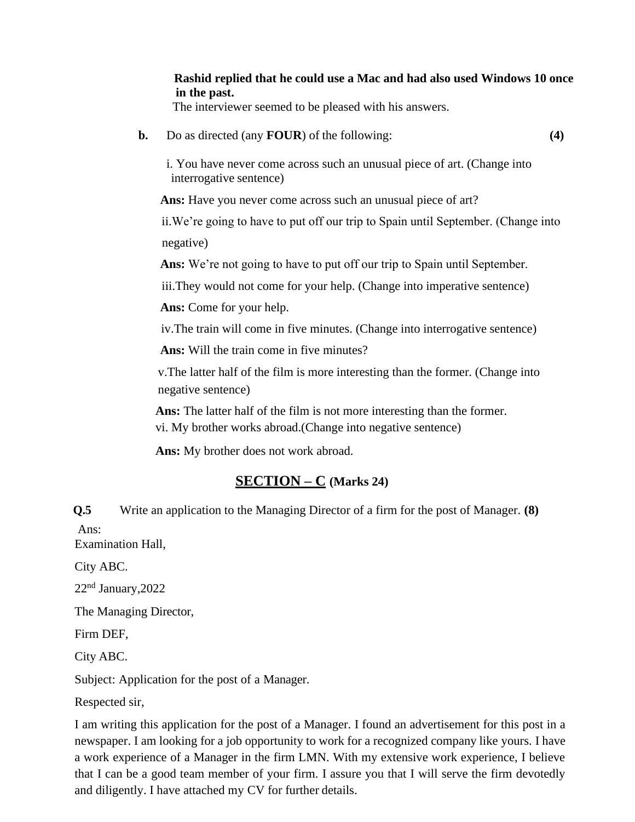**Rashid replied that he could use a Mac and had also used Windows 10 once in the past.**

The interviewer seemed to be pleased with his answers.

**b.** Do as directed (any **FOUR**) of the following: **(4)**

i. You have never come across such an unusual piece of art. (Change into interrogative sentence)

 **Ans:** Have you never come across such an unusual piece of art?

ii.We're going to have to put off our trip to Spain until September. (Change into negative)

 **Ans:** We're not going to have to put off our trip to Spain until September.

iii.They would not come for your help. (Change into imperative sentence)

 **Ans:** Come for your help.

iv.The train will come in five minutes. (Change into interrogative sentence)

 **Ans:** Will the train come in five minutes?

 v.The latter half of the film is more interesting than the former. (Change into negative sentence)

 **Ans:** The latter half of the film is not more interesting than the former. vi. My brother works abroad.(Change into negative sentence)

 **Ans:** My brother does not work abroad.

# **SECTION – C (Marks 24)**

**Q.5** Write an application to the Managing Director of a firm for the post of Manager. **(8)** Ans:

Examination Hall,

City ABC.

22nd January,2022

The Managing Director,

Firm DEF,

City ABC.

Subject: Application for the post of a Manager.

Respected sir,

I am writing this application for the post of a Manager. I found an advertisement for this post in a newspaper. I am looking for a job opportunity to work for a recognized company like yours. I have a work experience of a Manager in the firm LMN. With my extensive work experience, I believe that I can be a good team member of your firm. I assure you that I will serve the firm devotedly and diligently. I have attached my CV for further details.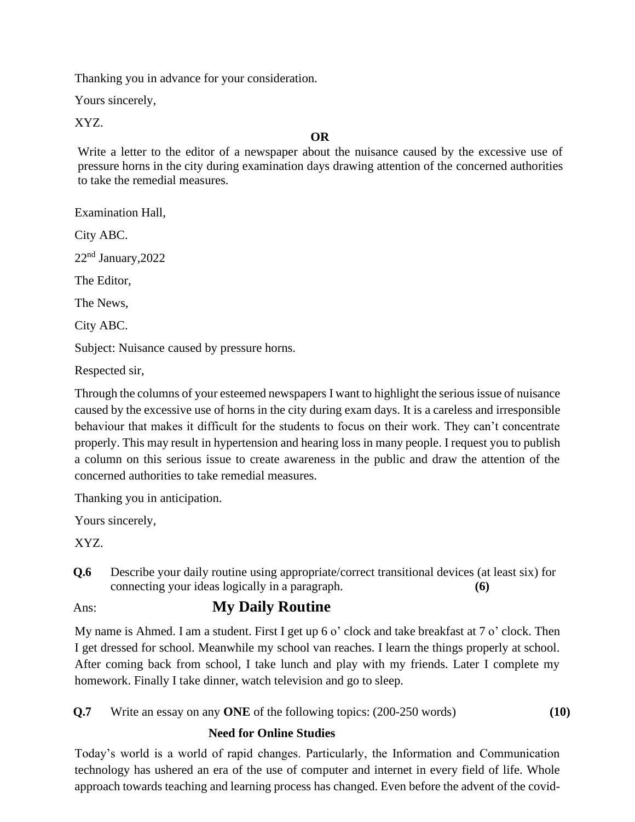Thanking you in advance for your consideration.

Yours sincerely,

XYZ.

# **OR**

Write a letter to the editor of a newspaper about the nuisance caused by the excessive use of pressure horns in the city during examination days drawing attention of the concerned authorities to take the remedial measures.

Examination Hall,

City ABC.

22nd January,2022

The Editor,

The News,

City ABC.

Subject: Nuisance caused by pressure horns.

Respected sir,

Through the columns of your esteemed newspapers I want to highlight the serious issue of nuisance caused by the excessive use of horns in the city during exam days. It is a careless and irresponsible behaviour that makes it difficult for the students to focus on their work. They can't concentrate properly. This may result in hypertension and hearing loss in many people. I request you to publish a column on this serious issue to create awareness in the public and draw the attention of the concerned authorities to take remedial measures.

Thanking you in anticipation.

Yours sincerely,

XYZ.

**Q.6** Describe your daily routine using appropriate/correct transitional devices (at least six) for connecting your ideas logically in a paragraph. **(6)**

# Ans: **My Daily Routine**

My name is Ahmed. I am a student. First I get up 6 o' clock and take breakfast at 7 o' clock. Then I get dressed for school. Meanwhile my school van reaches. I learn the things properly at school. After coming back from school, I take lunch and play with my friends. Later I complete my homework. Finally I take dinner, watch television and go to sleep.

**Q.7** Write an essay on any **ONE** of the following topics: (200-250 words) **(10)**

## **Need for Online Studies**

Today's world is a world of rapid changes. Particularly, the Information and Communication technology has ushered an era of the use of computer and internet in every field of life. Whole approach towards teaching and learning process has changed. Even before the advent of the covid-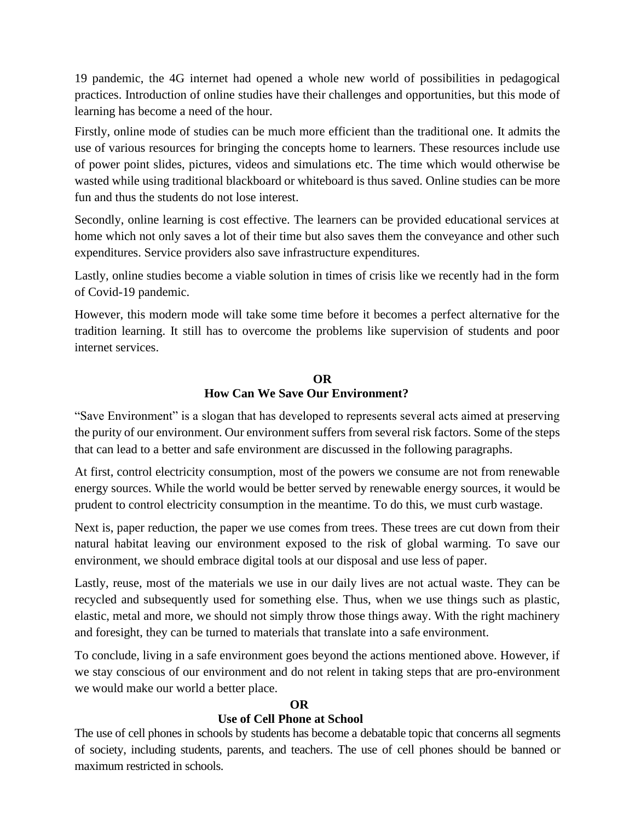19 pandemic, the 4G internet had opened a whole new world of possibilities in pedagogical practices. Introduction of online studies have their challenges and opportunities, but this mode of learning has become a need of the hour.

Firstly, online mode of studies can be much more efficient than the traditional one. It admits the use of various resources for bringing the concepts home to learners. These resources include use of power point slides, pictures, videos and simulations etc. The time which would otherwise be wasted while using traditional blackboard or whiteboard is thus saved. Online studies can be more fun and thus the students do not lose interest.

Secondly, online learning is cost effective. The learners can be provided educational services at home which not only saves a lot of their time but also saves them the conveyance and other such expenditures. Service providers also save infrastructure expenditures.

Lastly, online studies become a viable solution in times of crisis like we recently had in the form of Covid-19 pandemic.

However, this modern mode will take some time before it becomes a perfect alternative for the tradition learning. It still has to overcome the problems like supervision of students and poor internet services.

### **OR How Can We Save Our Environment?**

"Save Environment" is a slogan that has developed to represents several acts aimed at preserving the purity of our environment. Our environment suffers from several risk factors. Some of the steps that can lead to a better and safe environment are discussed in the following paragraphs.

At first, control electricity consumption, most of the powers we consume are not from renewable energy sources. While the world would be better served by renewable energy sources, it would be prudent to control electricity consumption in the meantime. To do this, we must curb wastage.

Next is, paper reduction, the paper we use comes from trees. These trees are cut down from their natural habitat leaving our environment exposed to the risk of global warming. To save our environment, we should embrace digital tools at our disposal and use less of paper.

Lastly, reuse, most of the materials we use in our daily lives are not actual waste. They can be recycled and subsequently used for something else. Thus, when we use things such as plastic, elastic, metal and more, we should not simply throw those things away. With the right machinery and foresight, they can be turned to materials that translate into a safe environment.

To conclude, living in a safe environment goes beyond the actions mentioned above. However, if we stay conscious of our environment and do not relent in taking steps that are pro-environment we would make our world a better place.

## **OR**

## **Use of Cell Phone at School**

The use of cell phones in schools by students has become a debatable topic that concerns all segments of society, including students, parents, and teachers. The use of cell phones should be banned or maximum restricted in schools.